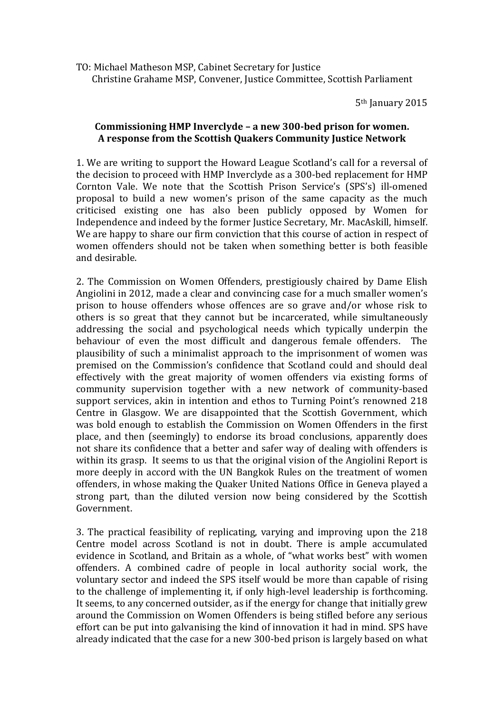TO: Michael Matheson MSP, Cabinet Secretary for Justice Christine Grahame MSP, Convener, Justice Committee, Scottish Parliament

5th January 2015

## **Commissioning HMP Inverclyde – a new 300-bed prison for women. A response from the Scottish Quakers Community Justice Network**

1. We are writing to support the Howard League Scotland's call for a reversal of the decision to proceed with HMP Inverclyde as a 300-bed replacement for HMP Cornton Vale. We note that the Scottish Prison Service's (SPS's) ill-omened proposal to build a new women's prison of the same capacity as the much criticised existing one has also been publicly opposed by Women for Independence and indeed by the former Justice Secretary, Mr. MacAskill, himself. We are happy to share our firm conviction that this course of action in respect of women offenders should not be taken when something better is both feasible and desirable.

2. The Commission on Women Offenders, prestigiously chaired by Dame Elish Angiolini in 2012, made a clear and convincing case for a much smaller women's prison to house offenders whose offences are so grave and/or whose risk to others is so great that they cannot but be incarcerated, while simultaneously addressing the social and psychological needs which typically underpin the behaviour of even the most difficult and dangerous female offenders. The plausibility of such a minimalist approach to the imprisonment of women was premised on the Commission's confidence that Scotland could and should deal effectively with the great majority of women offenders via existing forms of community supervision together with a new network of community-based support services, akin in intention and ethos to Turning Point's renowned 218 Centre in Glasgow. We are disappointed that the Scottish Government, which was bold enough to establish the Commission on Women Offenders in the first place, and then (seemingly) to endorse its broad conclusions, apparently does not share its confidence that a better and safer way of dealing with offenders is within its grasp. It seems to us that the original vision of the Angiolini Report is more deeply in accord with the UN Bangkok Rules on the treatment of women offenders, in whose making the Quaker United Nations Office in Geneva played a strong part, than the diluted version now being considered by the Scottish Government.

3. The practical feasibility of replicating, varying and improving upon the 218 Centre model across Scotland is not in doubt. There is ample accumulated evidence in Scotland, and Britain as a whole, of "what works best" with women offenders. A combined cadre of people in local authority social work, the voluntary sector and indeed the SPS itself would be more than capable of rising to the challenge of implementing it, if only high-level leadership is forthcoming. It seems, to any concerned outsider, as if the energy for change that initially grew around the Commission on Women Offenders is being stifled before any serious effort can be put into galvanising the kind of innovation it had in mind. SPS have already indicated that the case for a new 300-bed prison is largely based on what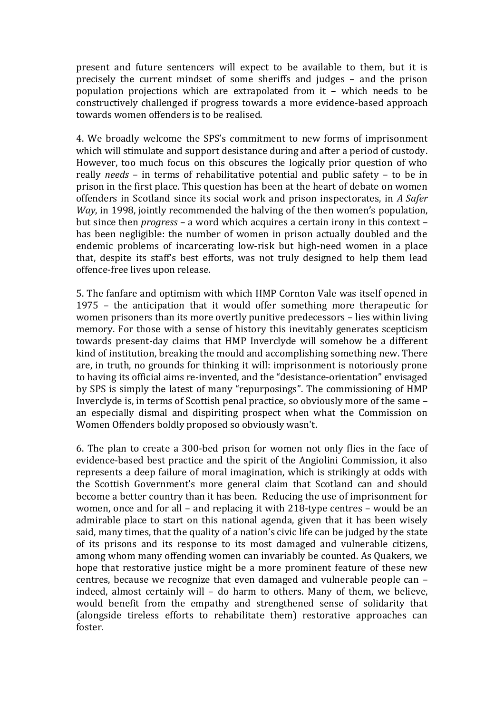present and future sentencers will expect to be available to them, but it is precisely the current mindset of some sheriffs and judges – and the prison population projections which are extrapolated from it – which needs to be constructively challenged if progress towards a more evidence-based approach towards women offenders is to be realised.

4. We broadly welcome the SPS's commitment to new forms of imprisonment which will stimulate and support desistance during and after a period of custody. However, too much focus on this obscures the logically prior question of who really *needs* – in terms of rehabilitative potential and public safety – to be in prison in the first place. This question has been at the heart of debate on women offenders in Scotland since its social work and prison inspectorates, in *A Safer Way*, in 1998, jointly recommended the halving of the then women's population, but since then *progress* – a word which acquires a certain irony in this context – has been negligible: the number of women in prison actually doubled and the endemic problems of incarcerating low-risk but high-need women in a place that, despite its staff's best efforts, was not truly designed to help them lead offence-free lives upon release.

5. The fanfare and optimism with which HMP Cornton Vale was itself opened in 1975 – the anticipation that it would offer something more therapeutic for women prisoners than its more overtly punitive predecessors – lies within living memory. For those with a sense of history this inevitably generates scepticism towards present-day claims that HMP Inverclyde will somehow be a different kind of institution, breaking the mould and accomplishing something new. There are, in truth, no grounds for thinking it will: imprisonment is notoriously prone to having its official aims re-invented, and the "desistance-orientation" envisaged by SPS is simply the latest of many "repurposings". The commissioning of HMP Inverclyde is, in terms of Scottish penal practice, so obviously more of the same – an especially dismal and dispiriting prospect when what the Commission on Women Offenders boldly proposed so obviously wasn't.

6. The plan to create a 300-bed prison for women not only flies in the face of evidence-based best practice and the spirit of the Angiolini Commission, it also represents a deep failure of moral imagination, which is strikingly at odds with the Scottish Government's more general claim that Scotland can and should become a better country than it has been. Reducing the use of imprisonment for women, once and for all – and replacing it with 218-type centres – would be an admirable place to start on this national agenda, given that it has been wisely said, many times, that the quality of a nation's civic life can be judged by the state of its prisons and its response to its most damaged and vulnerable citizens, among whom many offending women can invariably be counted. As Quakers, we hope that restorative justice might be a more prominent feature of these new centres, because we recognize that even damaged and vulnerable people can – indeed, almost certainly will – do harm to others. Many of them, we believe, would benefit from the empathy and strengthened sense of solidarity that (alongside tireless efforts to rehabilitate them) restorative approaches can foster.